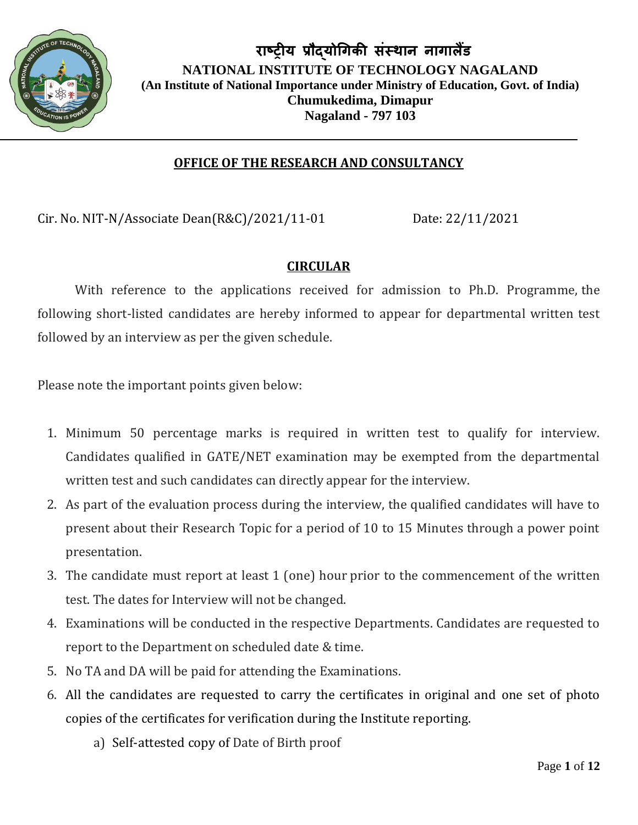

#### **OFFICE OF THE RESEARCH AND CONSULTANCY**

Cir. No. NIT-N/Associate Dean(R&C)/2021/11-01 Date: 22/11/2021

#### **CIRCULAR**

With reference to the applications received for admission to Ph.D. Programme, the following short-listed candidates are hereby informed to appear for departmental written test followed by an interview as per the given schedule.

Please note the important points given below:

- 1. Minimum 50 percentage marks is required in written test to qualify for interview. Candidates qualified in GATE/NET examination may be exempted from the departmental written test and such candidates can directly appear for the interview.
- 2. As part of the evaluation process during the interview, the qualified candidates will have to present about their Research Topic for a period of 10 to 15 Minutes through a power point presentation.
- 3. The candidate must report at least 1 (one) hour prior to the commencement of the written test. The dates for Interview will not be changed.
- 4. Examinations will be conducted in the respective Departments. Candidates are requested to report to the Department on scheduled date & time.
- 5. No TA and DA will be paid for attending the Examinations.
- 6. All the candidates are requested to carry the certificates in original and one set of photo copies of the certificates for verification during the Institute reporting.
	- a) Self-attested copy of Date of Birth proof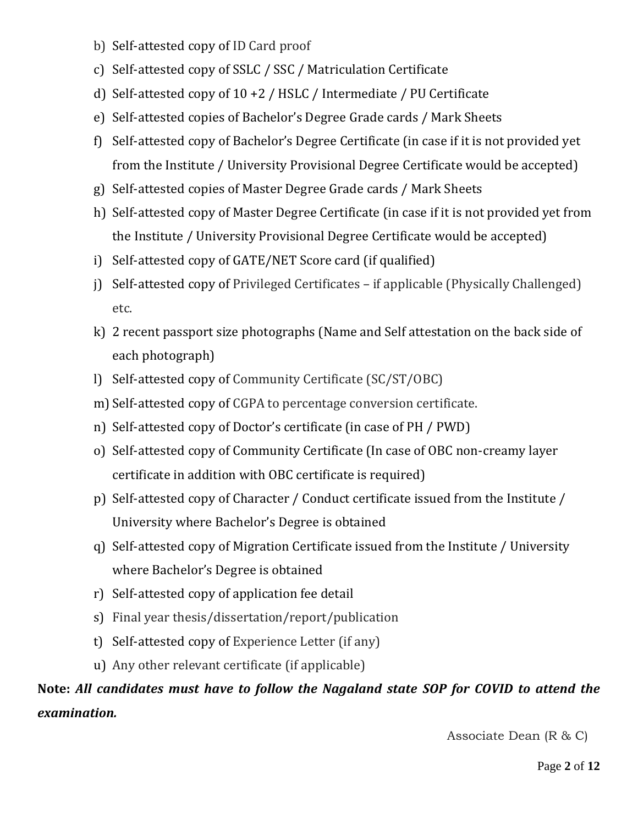- b) Self-attested copy of ID Card proof
- c) Self-attested copy of SSLC / SSC / Matriculation Certificate
- d) Self-attested copy of 10 +2 / HSLC / Intermediate / PU Certificate
- e) Self-attested copies of Bachelor's Degree Grade cards / Mark Sheets
- f) Self-attested copy of Bachelor's Degree Certificate (in case if it is not provided yet from the Institute / University Provisional Degree Certificate would be accepted)
- g) Self-attested copies of Master Degree Grade cards / Mark Sheets
- h) Self-attested copy of Master Degree Certificate (in case if it is not provided yet from the Institute / University Provisional Degree Certificate would be accepted)
- i) Self-attested copy of GATE/NET Score card (if qualified)
- j) Self-attested copy of Privileged Certificates if applicable (Physically Challenged) etc.
- k) 2 recent passport size photographs (Name and Self attestation on the back side of each photograph)
- l) Self-attested copy of Community Certificate (SC/ST/OBC)
- m) Self-attested copy of CGPA to percentage conversion certificate.
- n) Self-attested copy of Doctor's certificate (in case of PH / PWD)
- o) Self-attested copy of Community Certificate (In case of OBC non-creamy layer certificate in addition with OBC certificate is required)
- p) Self-attested copy of Character / Conduct certificate issued from the Institute / University where Bachelor's Degree is obtained
- q) Self-attested copy of Migration Certificate issued from the Institute / University where Bachelor's Degree is obtained
- r) Self-attested copy of application fee detail
- s) Final year thesis/dissertation/report/publication
- t) Self-attested copy of Experience Letter (if any)
- u) Any other relevant certificate (if applicable)

#### **Note:** *All candidates must have to follow the Nagaland state SOP for COVID to attend the examination.*

Associate Dean (R & C)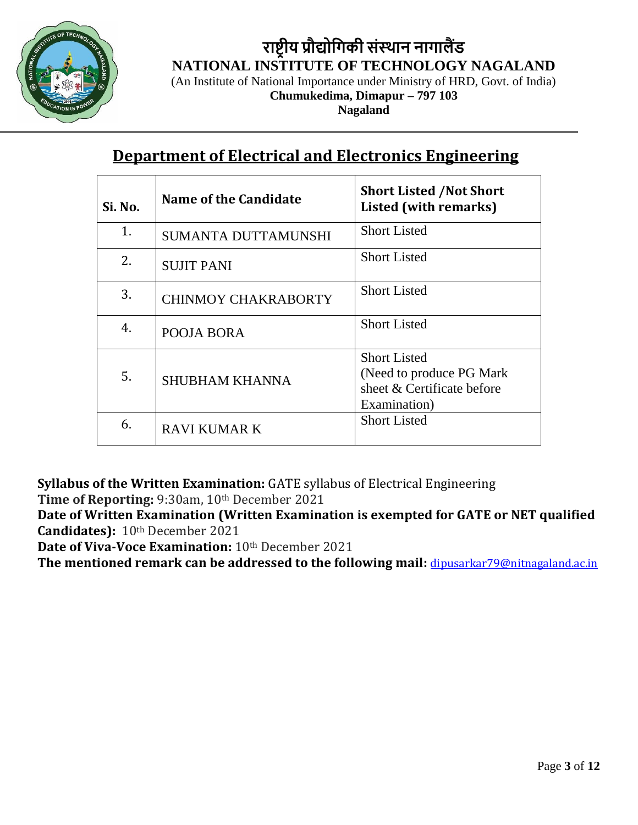

(An Institute of National Importance under Ministry of HRD, Govt. of India)

**Chumukedima, Dimapur – 797 103**

**Nagaland**

### **Department of Electrical and Electronics Engineering**

| Si. No. | Name of the Candidate      | <b>Short Listed /Not Short</b><br>Listed (with remarks) |
|---------|----------------------------|---------------------------------------------------------|
| 1.      | SUMANTA DUTTAMUNSHI        | <b>Short Listed</b>                                     |
| 2.      | <b>SUJIT PANI</b>          | <b>Short Listed</b>                                     |
| 3.      | <b>CHINMOY CHAKRABORTY</b> | <b>Short Listed</b>                                     |
| 4.      | POOJA BORA                 | <b>Short Listed</b>                                     |
|         |                            | <b>Short Listed</b>                                     |
| 5.      | <b>SHUBHAM KHANNA</b>      | (Need to produce PG Mark)<br>sheet & Certificate before |
|         |                            | Examination)                                            |
| 6.      | RAVI KUMAR K               | <b>Short Listed</b>                                     |

**Syllabus of the Written Examination:** GATE syllabus of Electrical Engineering

**Time of Reporting:** 9:30am, 10th December 2021

**Date of Written Examination (Written Examination is exempted for GATE or NET qualified Candidates):** 10th December 2021

**Date of Viva-Voce Examination: 10th December 2021** 

**The mentioned remark can be addressed to the following mail:** [dipusarkar79@nitnagaland.ac.in](mailto:dipusarkar79@nitnagaland.ac.in)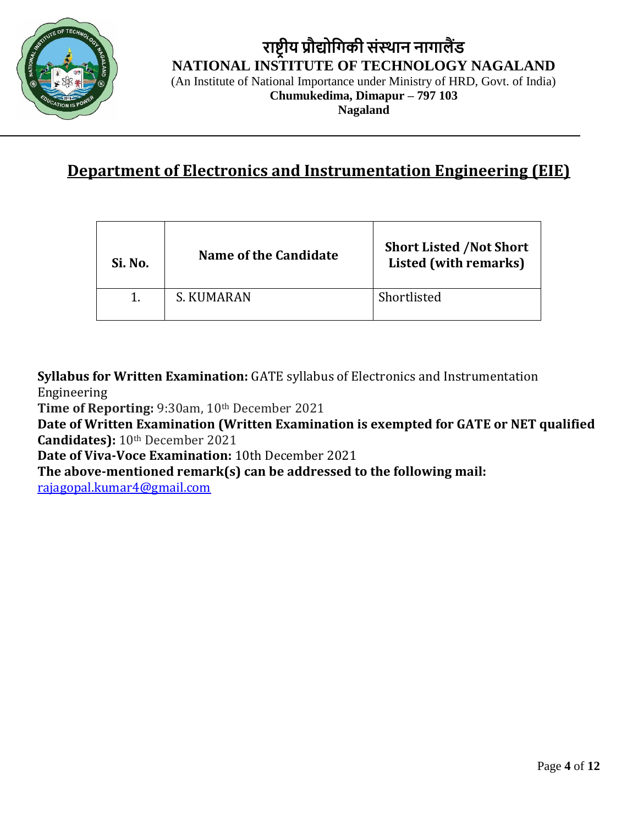

(An Institute of National Importance under Ministry of HRD, Govt. of India)

**Chumukedima, Dimapur – 797 103**

**Nagaland**

### **Department of Electronics and Instrumentation Engineering (EIE)**

| Si. No. | Name of the Candidate | <b>Short Listed /Not Short</b><br>Listed (with remarks) |
|---------|-----------------------|---------------------------------------------------------|
|         | S. KUMARAN            | Shortlisted                                             |

**Syllabus for Written Examination:** GATE syllabus of Electronics and Instrumentation Engineering

**Time of Reporting:** 9:30am, 10th December 2021

**Date of Written Examination (Written Examination is exempted for GATE or NET qualified Candidates):** 10th December 2021

**Date of Viva-Voce Examination:** 10th December 2021

**The above-mentioned remark(s) can be addressed to the following mail:**

[rajagopal.kumar4@gmail.com](mailto:rajagopal.kumar4@gmail.com)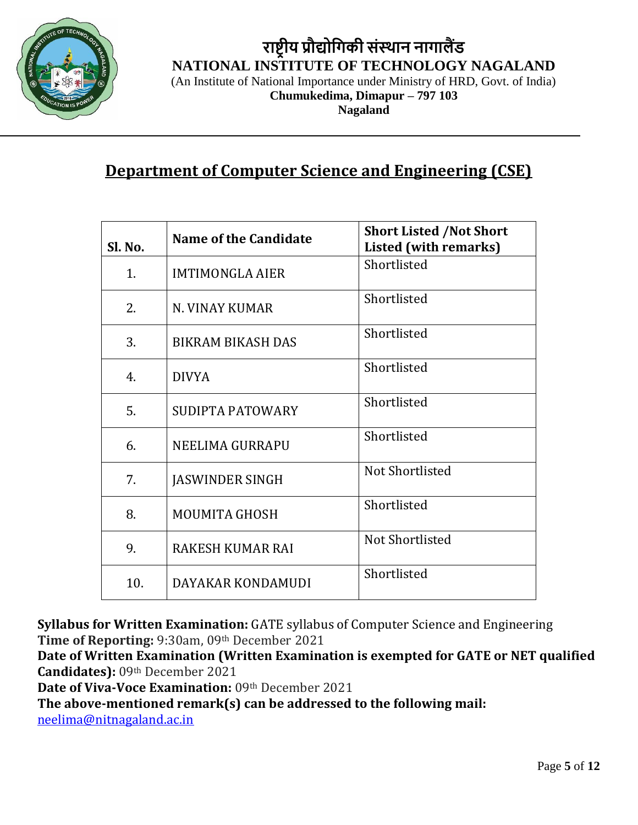

(An Institute of National Importance under Ministry of HRD, Govt. of India)

**Chumukedima, Dimapur – 797 103 Nagaland**

#### **Department of Computer Science and Engineering (CSE)**

| Sl. No. | <b>Name of the Candidate</b> | <b>Short Listed /Not Short</b><br>Listed (with remarks) |
|---------|------------------------------|---------------------------------------------------------|
| 1.      | <b>IMTIMONGLA AIER</b>       | Shortlisted                                             |
| 2.      | N. VINAY KUMAR               | Shortlisted                                             |
| 3.      | <b>BIKRAM BIKASH DAS</b>     | Shortlisted                                             |
| 4.      | <b>DIVYA</b>                 | Shortlisted                                             |
| 5.      | SUDIPTA PATOWARY             | Shortlisted                                             |
| 6.      | NEELIMA GURRAPU              | Shortlisted                                             |
| 7.      | <b>JASWINDER SINGH</b>       | Not Shortlisted                                         |
| 8.      | <b>MOUMITA GHOSH</b>         | Shortlisted                                             |
| 9.      | <b>RAKESH KUMAR RAI</b>      | Not Shortlisted                                         |
| 10.     | DAYAKAR KONDAMUDI            | Shortlisted                                             |

**Syllabus for Written Examination:** GATE syllabus of Computer Science and Engineering Time of Reporting: 9:30am, 09th December 2021

**Date of Written Examination (Written Examination is exempted for GATE or NET qualified Candidates):** 09th December 2021

**Date of Viva-Voce Examination:** 09th December 2021

**The above-mentioned remark(s) can be addressed to the following mail:**

[neelima@nitnagaland.ac.in](mailto:neelima@nitnagaland.ac.in)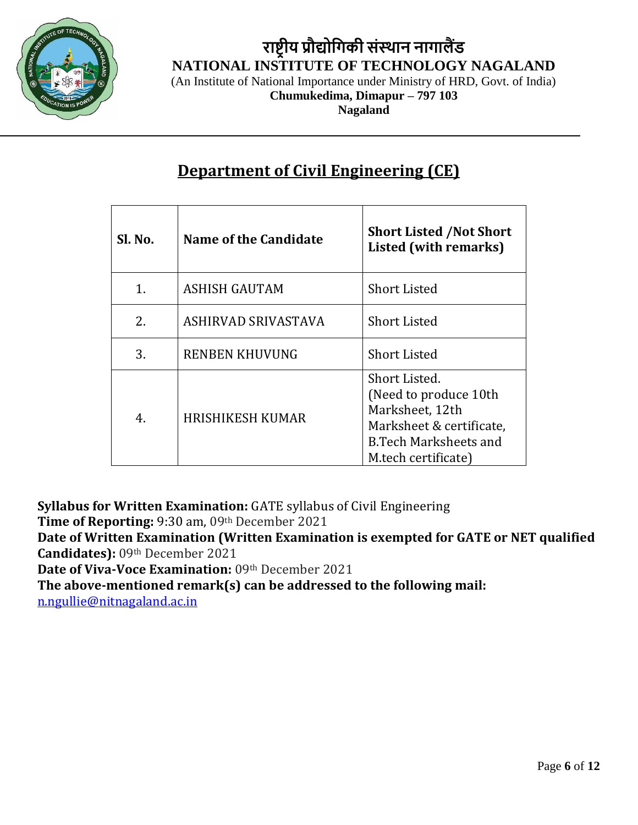

(An Institute of National Importance under Ministry of HRD, Govt. of India)

**Chumukedima, Dimapur – 797 103 Nagaland**

**Department of Civil Engineering (CE)**

| Sl. No. | Name of the Candidate   | <b>Short Listed /Not Short</b><br><b>Listed (with remarks)</b>                                                                                |
|---------|-------------------------|-----------------------------------------------------------------------------------------------------------------------------------------------|
| 1.      | <b>ASHISH GAUTAM</b>    | <b>Short Listed</b>                                                                                                                           |
| 2.      | ASHIRVAD SRIVASTAVA     | <b>Short Listed</b>                                                                                                                           |
| 3.      | <b>RENBEN KHUVUNG</b>   | <b>Short Listed</b>                                                                                                                           |
| 4.      | <b>HRISHIKESH KUMAR</b> | Short Listed.<br>(Need to produce 10th)<br>Marksheet, 12th<br>Marksheet & certificate,<br><b>B.Tech Marksheets and</b><br>M.tech certificate) |

**Syllabus for Written Examination:** GATE syllabus of Civil Engineering

**Time of Reporting:** 9:30 am, 09th December 2021

**Date of Written Examination (Written Examination is exempted for GATE or NET qualified Candidates):** 09th December 2021

Date of Viva-Voce Examination: 09th December 2021

**The above-mentioned remark(s) can be addressed to the following mail:**

[n.ngullie@nitnagaland.ac.in](mailto:n.ngullie@nitnagaland.ac.in)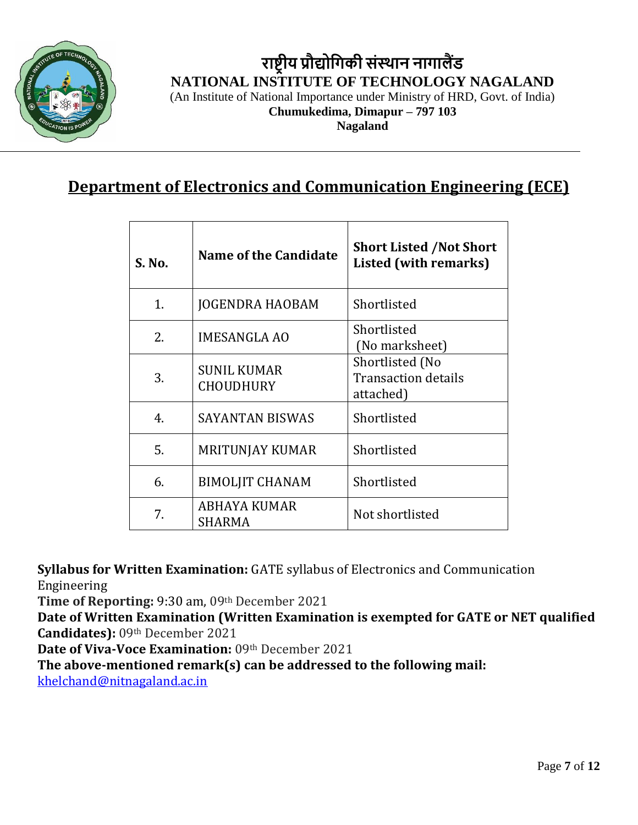

(An Institute of National Importance under Ministry of HRD, Govt. of India)

**Chumukedima, Dimapur – 797 103**

**Nagaland**

#### **Department of Electronics and Communication Engineering (ECE)**

| S. No. | Name of the Candidate                  | <b>Short Listed /Not Short</b><br><b>Listed (with remarks)</b> |
|--------|----------------------------------------|----------------------------------------------------------------|
| 1.     | <b>JOGENDRA HAOBAM</b>                 | Shortlisted                                                    |
| 2.     | <b>IMESANGLA AO</b>                    | Shortlisted<br>(No marksheet)                                  |
| 3.     | <b>SUNIL KUMAR</b><br><b>CHOUDHURY</b> | Shortlisted (No<br><b>Transaction details</b><br>attached)     |
| 4.     | <b>SAYANTAN BISWAS</b>                 | Shortlisted                                                    |
| 5.     | <b>MRITUNJAY KUMAR</b>                 | Shortlisted                                                    |
| 6.     | <b>BIMOLJIT CHANAM</b>                 | Shortlisted                                                    |
| 7.     | ABHAYA KUMAR<br>SHARMA                 | Not shortlisted                                                |

**Syllabus for Written Examination:** GATE syllabus of Electronics and Communication Engineering

**Time of Reporting:** 9:30 am, 09th December 2021

**Date of Written Examination (Written Examination is exempted for GATE or NET qualified Candidates):** 09th December 2021

Date of Viva-Voce Examination: 09th December 2021

**The above-mentioned remark(s) can be addressed to the following mail:**

[khelchand@nitnagaland.ac.in](mailto:khelchand@nitnagaland.ac.in)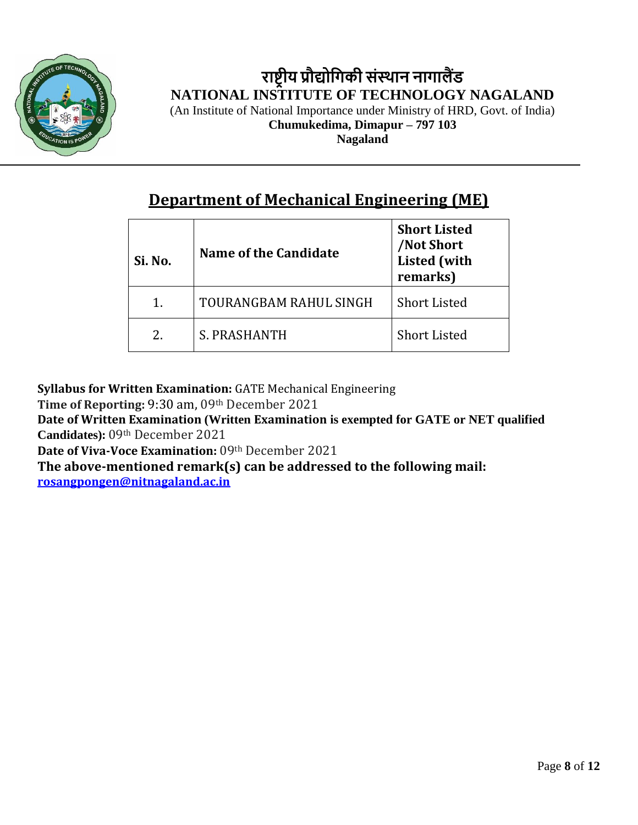

**राष्ट्रीय प्रौद्योगिकी संस्थान नािालैंड NATIONAL INSTITUTE OF TECHNOLOGY NAGALAND** (An Institute of National Importance under Ministry of HRD, Govt. of India) **Chumukedima, Dimapur – 797 103**

**Nagaland**

#### **Department of Mechanical Engineering (ME)**

| Si. No.       | Name of the Candidate  | <b>Short Listed</b><br><b>Not Short</b><br><b>Listed</b> (with<br>remarks) |
|---------------|------------------------|----------------------------------------------------------------------------|
| 1.            | TOURANGBAM RAHUL SINGH | <b>Short Listed</b>                                                        |
| $\mathcal{L}$ | S. PRASHANTH           | <b>Short Listed</b>                                                        |

**Syllabus for Written Examination:** GATE Mechanical Engineering

**Time of Reporting:** 9:30 am, 09th December 2021

**Date of Written Examination (Written Examination is exempted for GATE or NET qualified Candidates):** 09th December 2021

**Date of Viva-Voce Examination:** 09th December 2021

**The above-mentioned remark(s) can be addressed to the following mail:**

**[rosangpongen@nitnagaland.ac.in](mailto:rosangpongen@nitnagaland.ac.in)**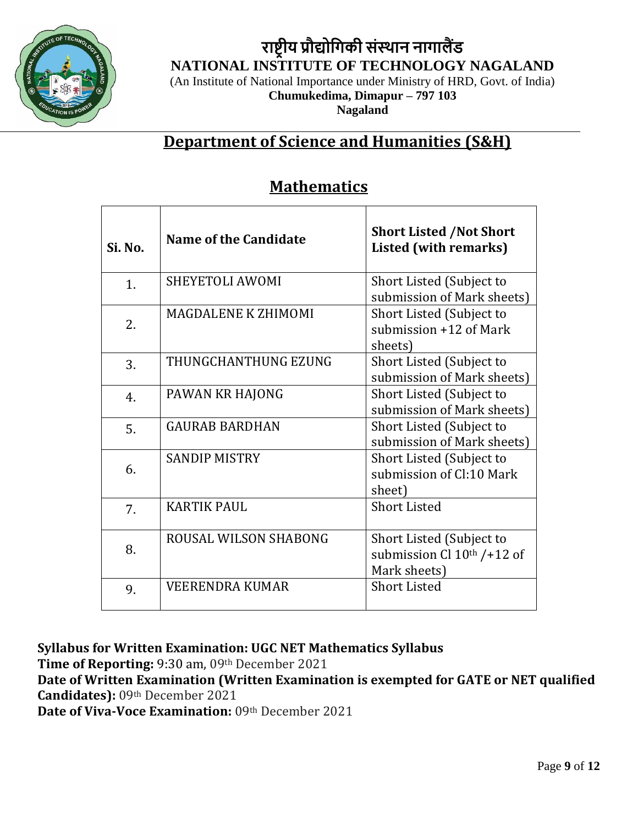

**राष्ट्रीय प्रौद्योगिकी संस्थान नािालैंड NATIONAL INSTITUTE OF TECHNOLOGY NAGALAND** (An Institute of National Importance under Ministry of HRD, Govt. of India) **Chumukedima, Dimapur – 797 103**

**Nagaland**

#### **Department of Science and Humanities (S&H)**

#### **Mathematics**

| Si. No. | Name of the Candidate  | <b>Short Listed /Not Short</b><br>Listed (with remarks)                  |
|---------|------------------------|--------------------------------------------------------------------------|
| 1.      | <b>SHEYETOLI AWOMI</b> | Short Listed (Subject to<br>submission of Mark sheets)                   |
| 2.      | MAGDALENE K ZHIMOMI    | Short Listed (Subject to<br>submission $+12$ of Mark<br>sheets)          |
| 3.      | THUNGCHANTHUNG EZUNG   | Short Listed (Subject to<br>submission of Mark sheets)                   |
| 4.      | PAWAN KR HAJONG        | Short Listed (Subject to<br>submission of Mark sheets)                   |
| 5.      | <b>GAURAB BARDHAN</b>  | Short Listed (Subject to<br>submission of Mark sheets)                   |
| 6.      | <b>SANDIP MISTRY</b>   | Short Listed (Subject to<br>submission of Cl:10 Mark<br>sheet)           |
| 7.      | <b>KARTIK PAUL</b>     | <b>Short Listed</b>                                                      |
| 8.      | ROUSAL WILSON SHABONG  | Short Listed (Subject to<br>submission Cl $10th$ /+12 of<br>Mark sheets) |
| 9.      | <b>VEERENDRA KUMAR</b> | <b>Short Listed</b>                                                      |

**Syllabus for Written Examination: UGC NET Mathematics Syllabus**

**Time of Reporting:** 9:30 am, 09th December 2021

**Date of Written Examination (Written Examination is exempted for GATE or NET qualified Candidates):** 09th December 2021

**Date of Viva-Voce Examination:** 09th December 2021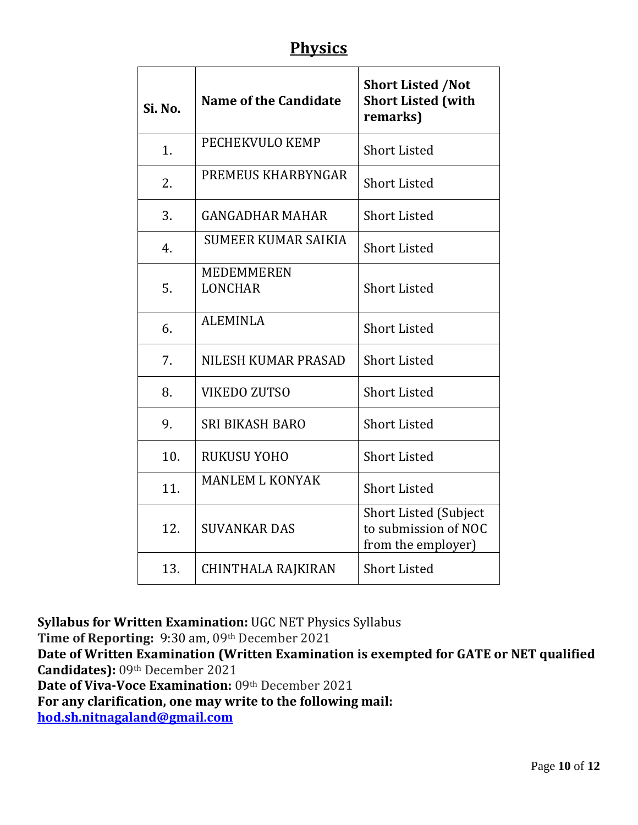#### **Physics**

| Si. No. | Name of the Candidate               | <b>Short Listed /Not</b><br><b>Short Listed (with</b><br>remarks)          |
|---------|-------------------------------------|----------------------------------------------------------------------------|
| 1.      | PECHEKVULO KEMP                     | <b>Short Listed</b>                                                        |
| 2.      | PREMEUS KHARBYNGAR                  | <b>Short Listed</b>                                                        |
| 3.      | <b>GANGADHAR MAHAR</b>              | <b>Short Listed</b>                                                        |
| 4.      | <b>SUMEER KUMAR SAIKIA</b>          | <b>Short Listed</b>                                                        |
| 5.      | <b>MEDEMMEREN</b><br><b>LONCHAR</b> | <b>Short Listed</b>                                                        |
| 6.      | <b>ALEMINLA</b>                     | <b>Short Listed</b>                                                        |
| 7.      | NILESH KUMAR PRASAD                 | <b>Short Listed</b>                                                        |
| 8.      | <b>VIKEDO ZUTSO</b>                 | <b>Short Listed</b>                                                        |
| 9.      | <b>SRI BIKASH BARO</b>              | <b>Short Listed</b>                                                        |
| 10.     | RUKUSU YOHO                         | <b>Short Listed</b>                                                        |
| 11.     | <b>MANLEM L KONYAK</b>              | <b>Short Listed</b>                                                        |
| 12.     | <b>SUVANKAR DAS</b>                 | <b>Short Listed (Subject</b><br>to submission of NOC<br>from the employer) |
| 13.     | <b>CHINTHALA RAJKIRAN</b>           | <b>Short Listed</b>                                                        |

**Syllabus for Written Examination:** UGC NET Physics Syllabus

**Time of Reporting:** 9:30 am, 09th December 2021

**Date of Written Examination (Written Examination is exempted for GATE or NET qualified Candidates):** 09th December 2021

Date of Viva-Voce Examination: 09th December 2021

**For any clarification, one may write to the following mail:**

**[hod.sh.nitnagaland@gmail.com](mailto:hod.sh.nitnagaland@gmail.com)**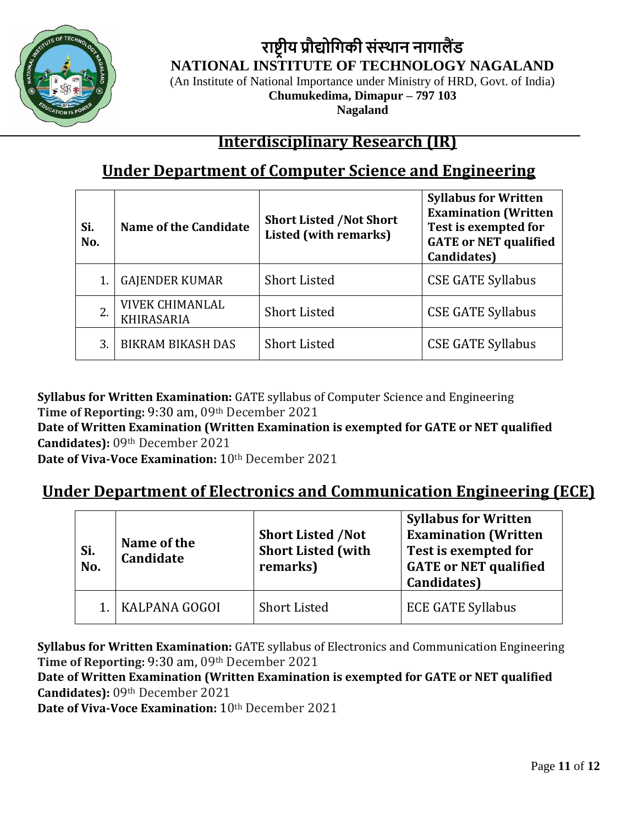

**राष्ट्रीय प्रौद्योगिकी संस्थान नािालैंड NATIONAL INSTITUTE OF TECHNOLOGY NAGALAND** (An Institute of National Importance under Ministry of HRD, Govt. of India)

**Chumukedima, Dimapur – 797 103**

**Nagaland**

#### **Interdisciplinary Research (IR)**

### **Under Department of Computer Science and Engineering**

| Si.<br>No. | <b>Name of the Candidate</b>                | <b>Short Listed /Not Short</b><br><b>Listed (with remarks)</b> | <b>Syllabus for Written</b><br><b>Examination (Written</b><br>Test is exempted for<br><b>GATE or NET qualified</b><br>Candidates) |
|------------|---------------------------------------------|----------------------------------------------------------------|-----------------------------------------------------------------------------------------------------------------------------------|
|            | <b>GAJENDER KUMAR</b>                       | <b>Short Listed</b>                                            | <b>CSE GATE Syllabus</b>                                                                                                          |
| 2.         | <b>VIVEK CHIMANLAL</b><br><b>KHIRASARIA</b> | <b>Short Listed</b>                                            | <b>CSE GATE Syllabus</b>                                                                                                          |
| 3.         | <b>BIKRAM BIKASH DAS</b>                    | <b>Short Listed</b>                                            | <b>CSE GATE Syllabus</b>                                                                                                          |

**Syllabus for Written Examination:** GATE syllabus of Computer Science and Engineering **Time of Reporting:** 9:30 am, 09th December 2021

**Date of Written Examination (Written Examination is exempted for GATE or NET qualified Candidates):** 09th December 2021

**Date of Viva-Voce Examination:** 10th December 2021

#### **Under Department of Electronics and Communication Engineering (ECE)**

| Si.<br>No. | Name of the<br><b>Candidate</b> | <b>Short Listed /Not</b><br><b>Short Listed (with</b><br>remarks) | <b>Syllabus for Written</b><br><b>Examination (Written</b><br>Test is exempted for<br><b>GATE or NET qualified</b><br>Candidates) |
|------------|---------------------------------|-------------------------------------------------------------------|-----------------------------------------------------------------------------------------------------------------------------------|
|            | KALPANA GOGOI                   | <b>Short Listed</b>                                               | <b>ECE GATE Syllabus</b>                                                                                                          |

**Syllabus for Written Examination:** GATE syllabus of Electronics and Communication Engineering **Time of Reporting:** 9:30 am, 09th December 2021

**Date of Written Examination (Written Examination is exempted for GATE or NET qualified Candidates):** 09th December 2021

**Date of Viva-Voce Examination:** 10th December 2021